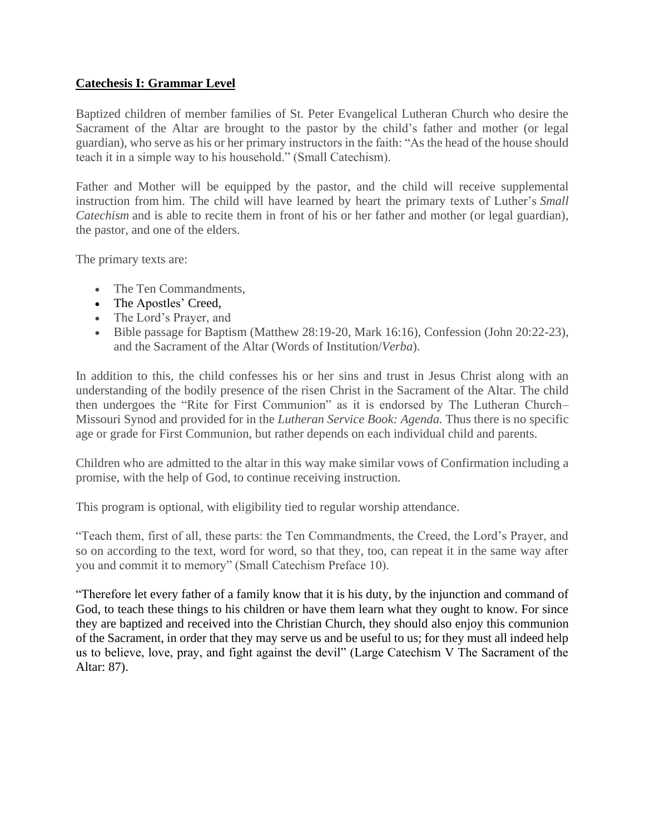## **Catechesis I: Grammar Level**

Baptized children of member families of St. Peter Evangelical Lutheran Church who desire the Sacrament of the Altar are brought to the pastor by the child's father and mother (or legal guardian), who serve as his or her primary instructors in the faith: "As the head of the house should teach it in a simple way to his household." (Small Catechism).

Father and Mother will be equipped by the pastor, and the child will receive supplemental instruction from him. The child will have learned by heart the primary texts of Luther's *Small Catechism* and is able to recite them in front of his or her father and mother (or legal guardian), the pastor, and one of the elders.

The primary texts are:

- The Ten Commandments,
- The Apostles' Creed,
- The Lord's Prayer, and
- Bible passage for Baptism (Matthew 28:19-20, Mark 16:16), Confession (John 20:22-23), and the Sacrament of the Altar (Words of Institution/*Verba*).

In addition to this, the child confesses his or her sins and trust in Jesus Christ along with an understanding of the bodily presence of the risen Christ in the Sacrament of the Altar. The child then undergoes the "Rite for First Communion" as it is endorsed by The Lutheran Church– Missouri Synod and provided for in the *Lutheran Service Book: Agenda.* Thus there is no specific age or grade for First Communion, but rather depends on each individual child and parents.

Children who are admitted to the altar in this way make similar vows of Confirmation including a promise, with the help of God, to continue receiving instruction.

This program is optional, with eligibility tied to regular worship attendance.

"Teach them, first of all, these parts: the Ten Commandments, the Creed, the Lord's Prayer, and so on according to the text, word for word, so that they, too, can repeat it in the same way after you and commit it to memory" (Small Catechism Preface 10).

"Therefore let every father of a family know that it is his duty, by the injunction and command of God, to teach these things to his children or have them learn what they ought to know. For since they are baptized and received into the Christian Church, they should also enjoy this communion of the Sacrament, in order that they may serve us and be useful to us; for they must all indeed help us to believe, love, pray, and fight against the devil" (Large Catechism V The Sacrament of the Altar: 87).